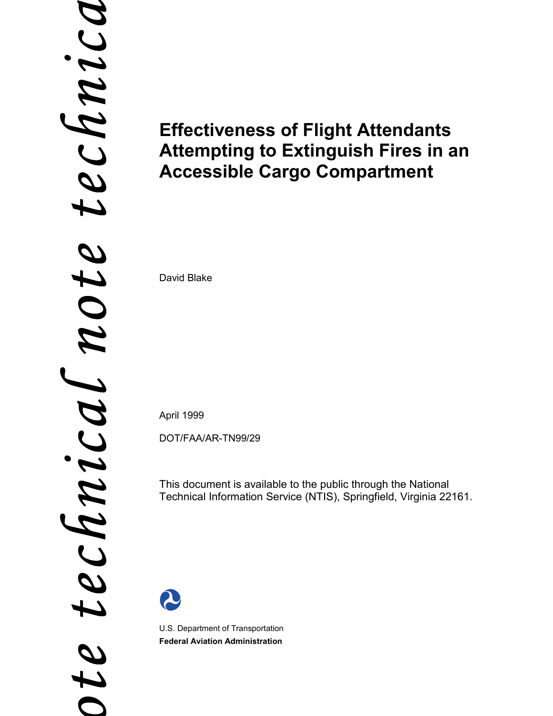# *a ote technical note technic*  $\boldsymbol{\downarrow}$ note Chnical Ţ  $t e$

# **Effectiveness of Flight Attendants Attempting to Extinguish Fires in an Accessible Cargo Compartment**

David Blake

April 1999

DOT/FAA/AR-TN99/29

This document is available to the public through the National Technical Information Service (NTIS), Springfield, Virginia 22161.



U.S. Department of Transportation **Federal Aviation Administration**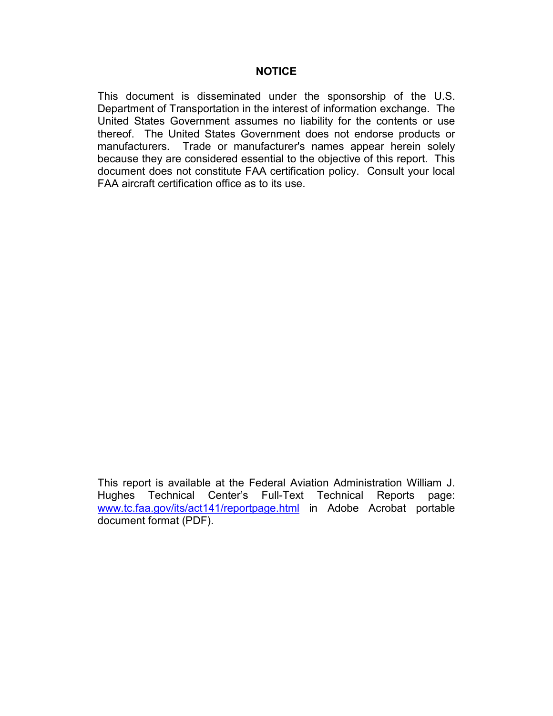This document is disseminated under the sponsorship of the U.S. Department of Transportation in the interest of information exchange. The United States Government assumes no liability for the contents or use thereof. The United States Government does not endorse products or manufacturers. Trade or manufacturer's names appear herein solely because they are considered essential to the objective of this report. This document does not constitute FAA certification policy. Consult your local FAA aircraft certification office as to its use.

This report is available at the Federal Aviation Administration William J. Hughes Technical Center's Full-Text Technical Reports page: www.tc.faa.gov/its/act141/reportpage.html in Adobe Acrobat portable document format (PDF).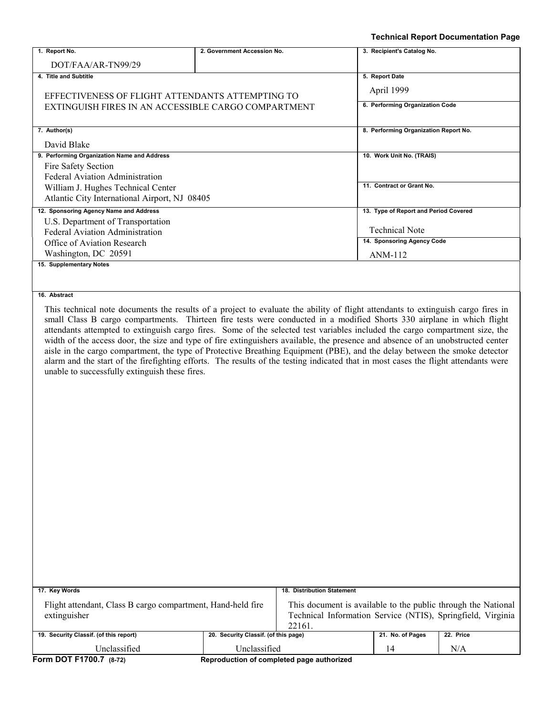|                                                                |                             | <b>Technical Report Documentation Page</b>                                                                                                                                                                                                                                                                                                                                                                                                                                                                                                                                                                                                                                                                                                                                                         |
|----------------------------------------------------------------|-----------------------------|----------------------------------------------------------------------------------------------------------------------------------------------------------------------------------------------------------------------------------------------------------------------------------------------------------------------------------------------------------------------------------------------------------------------------------------------------------------------------------------------------------------------------------------------------------------------------------------------------------------------------------------------------------------------------------------------------------------------------------------------------------------------------------------------------|
| 1. Report No.                                                  | 2. Government Accession No. | 3. Recipient's Catalog No.                                                                                                                                                                                                                                                                                                                                                                                                                                                                                                                                                                                                                                                                                                                                                                         |
| DOT/FAA/AR-TN99/29                                             |                             |                                                                                                                                                                                                                                                                                                                                                                                                                                                                                                                                                                                                                                                                                                                                                                                                    |
| 4. Title and Subtitle                                          | 5. Report Date              |                                                                                                                                                                                                                                                                                                                                                                                                                                                                                                                                                                                                                                                                                                                                                                                                    |
|                                                                | April 1999                  |                                                                                                                                                                                                                                                                                                                                                                                                                                                                                                                                                                                                                                                                                                                                                                                                    |
| EFFECTIVENESS OF FLIGHT ATTENDANTS ATTEMPTING TO               |                             | 6. Performing Organization Code                                                                                                                                                                                                                                                                                                                                                                                                                                                                                                                                                                                                                                                                                                                                                                    |
| EXTINGUISH FIRES IN AN ACCESSIBLE CARGO COMPARTMENT            |                             |                                                                                                                                                                                                                                                                                                                                                                                                                                                                                                                                                                                                                                                                                                                                                                                                    |
| 7. Author(s)                                                   |                             | 8. Performing Organization Report No.                                                                                                                                                                                                                                                                                                                                                                                                                                                                                                                                                                                                                                                                                                                                                              |
| David Blake                                                    |                             |                                                                                                                                                                                                                                                                                                                                                                                                                                                                                                                                                                                                                                                                                                                                                                                                    |
| 9. Performing Organization Name and Address                    |                             | 10. Work Unit No. (TRAIS)                                                                                                                                                                                                                                                                                                                                                                                                                                                                                                                                                                                                                                                                                                                                                                          |
| Fire Safety Section                                            |                             |                                                                                                                                                                                                                                                                                                                                                                                                                                                                                                                                                                                                                                                                                                                                                                                                    |
| Federal Aviation Administration                                |                             |                                                                                                                                                                                                                                                                                                                                                                                                                                                                                                                                                                                                                                                                                                                                                                                                    |
| William J. Hughes Technical Center                             |                             | 11. Contract or Grant No.                                                                                                                                                                                                                                                                                                                                                                                                                                                                                                                                                                                                                                                                                                                                                                          |
| Atlantic City International Airport, NJ 08405                  |                             |                                                                                                                                                                                                                                                                                                                                                                                                                                                                                                                                                                                                                                                                                                                                                                                                    |
| 12. Sponsoring Agency Name and Address                         |                             | 13. Type of Report and Period Covered                                                                                                                                                                                                                                                                                                                                                                                                                                                                                                                                                                                                                                                                                                                                                              |
| U.S. Department of Transportation                              |                             | <b>Technical Note</b>                                                                                                                                                                                                                                                                                                                                                                                                                                                                                                                                                                                                                                                                                                                                                                              |
| Federal Aviation Administration<br>Office of Aviation Research |                             | 14. Sponsoring Agency Code                                                                                                                                                                                                                                                                                                                                                                                                                                                                                                                                                                                                                                                                                                                                                                         |
| Washington, DC 20591                                           |                             | ANM-112                                                                                                                                                                                                                                                                                                                                                                                                                                                                                                                                                                                                                                                                                                                                                                                            |
| 15. Supplementary Notes                                        |                             |                                                                                                                                                                                                                                                                                                                                                                                                                                                                                                                                                                                                                                                                                                                                                                                                    |
|                                                                |                             |                                                                                                                                                                                                                                                                                                                                                                                                                                                                                                                                                                                                                                                                                                                                                                                                    |
| unable to successfully extinguish these fires.                 |                             | This technical note documents the results of a project to evaluate the ability of flight attendants to extinguish cargo fires in<br>small Class B cargo compartments. Thirteen fire tests were conducted in a modified Shorts 330 airplane in which flight<br>attendants attempted to extinguish cargo fires. Some of the selected test variables included the cargo compartment size, the<br>width of the access door, the size and type of fire extinguishers available, the presence and absence of an unobstructed center<br>aisle in the cargo compartment, the type of Protective Breathing Equipment (PBE), and the delay between the smoke detector<br>alarm and the start of the firefighting efforts. The results of the testing indicated that in most cases the flight attendants were |

| 17. Key Words                                                               | 18. Distribution Statement                                                                                                             |                                           |                  |           |
|-----------------------------------------------------------------------------|----------------------------------------------------------------------------------------------------------------------------------------|-------------------------------------------|------------------|-----------|
| Flight attendant, Class B cargo compartment, Hand-held fire<br>extinguisher | This document is available to the public through the National<br>Technical Information Service (NTIS), Springfield, Virginia<br>22161. |                                           |                  |           |
| 19. Security Classif. (of this report)                                      | 20. Security Classif. (of this page)                                                                                                   |                                           | 21. No. of Pages | 22. Price |
| Unclassified                                                                | Unclassified                                                                                                                           |                                           | 14               | N/A       |
| Form DOT F1700.7 (8-72)                                                     |                                                                                                                                        | Reproduction of completed page authorized |                  |           |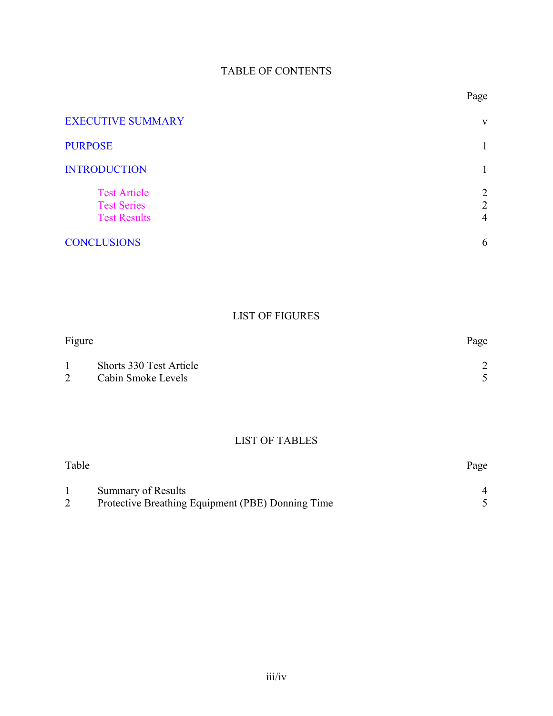### TABLE OF CONTENTS

| <b>EXECUTIVE SUMMARY</b>                                         | V                                     |
|------------------------------------------------------------------|---------------------------------------|
| <b>PURPOSE</b>                                                   |                                       |
| <b>INTRODUCTION</b>                                              |                                       |
| <b>Test Article</b><br><b>Test Series</b><br><b>Test Results</b> | 2<br>$\overline{2}$<br>$\overline{4}$ |
| <b>CONCLUSIONS</b>                                               | 6                                     |

# LIST OF FIGURES

| Figure |                         | Page |
|--------|-------------------------|------|
|        | Shorts 330 Test Article |      |
|        | Cabin Smoke Levels      |      |

# LIST OF TABLES

| Table |                                                   | Page |
|-------|---------------------------------------------------|------|
|       | Summary of Results                                |      |
|       | Protective Breathing Equipment (PBE) Donning Time |      |

Page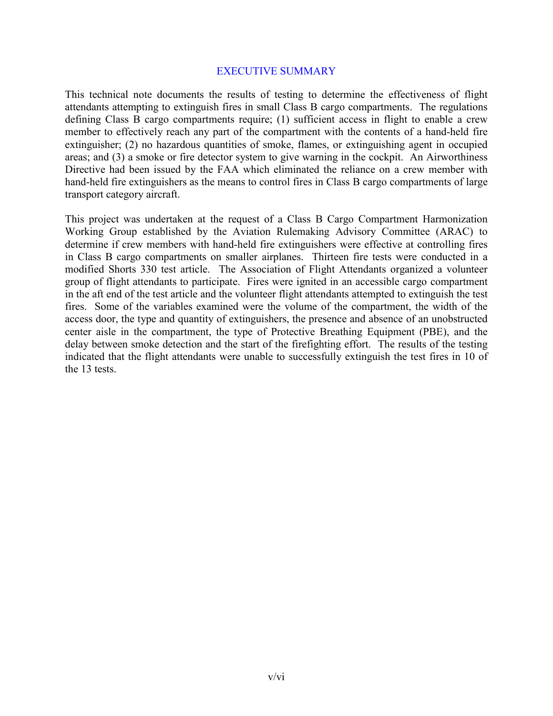#### EXECUTIVE SUMMARY

<span id="page-4-0"></span>This technical note documents the results of testing to determine the effectiveness of flight attendants attempting to extinguish fires in small Class B cargo compartments. The regulations defining Class B cargo compartments require; (1) sufficient access in flight to enable a crew member to effectively reach any part of the compartment with the contents of a hand-held fire extinguisher; (2) no hazardous quantities of smoke, flames, or extinguishing agent in occupied areas; and (3) a smoke or fire detector system to give warning in the cockpit. An Airworthiness Directive had been issued by the FAA which eliminated the reliance on a crew member with hand-held fire extinguishers as the means to control fires in Class B cargo compartments of large transport category aircraft.

This project was undertaken at the request of a Class B Cargo Compartment Harmonization Working Group established by the Aviation Rulemaking Advisory Committee (ARAC) to determine if crew members with hand-held fire extinguishers were effective at controlling fires in Class B cargo compartments on smaller airplanes. Thirteen fire tests were conducted in a modified Shorts 330 test article. The Association of Flight Attendants organized a volunteer group of flight attendants to participate. Fires were ignited in an accessible cargo compartment in the aft end of the test article and the volunteer flight attendants attempted to extinguish the test fires. Some of the variables examined were the volume of the compartment, the width of the access door, the type and quantity of extinguishers, the presence and absence of an unobstructed center aisle in the compartment, the type of Protective Breathing Equipment (PBE), and the delay between smoke detection and the start of the firefighting effort. The results of the testing indicated that the flight attendants were unable to successfully extinguish the test fires in 10 of the 13 tests.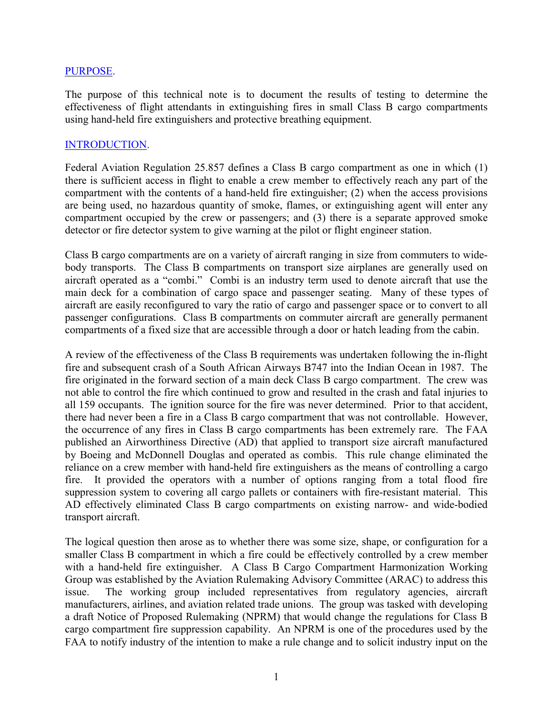#### <span id="page-5-0"></span>PURPOSE.

The purpose of this technical note is to document the results of testing to determine the effectiveness of flight attendants in extinguishing fires in small Class B cargo compartments using hand-held fire extinguishers and protective breathing equipment.

#### <span id="page-5-1"></span>INTRODUCTION.

Federal Aviation Regulation 25.857 defines a Class B cargo compartment as one in which (1) there is sufficient access in flight to enable a crew member to effectively reach any part of the compartment with the contents of a hand-held fire extinguisher; (2) when the access provisions are being used, no hazardous quantity of smoke, flames, or extinguishing agent will enter any compartment occupied by the crew or passengers; and (3) there is a separate approved smoke detector or fire detector system to give warning at the pilot or flight engineer station.

Class B cargo compartments are on a variety of aircraft ranging in size from commuters to widebody transports. The Class B compartments on transport size airplanes are generally used on aircraft operated as a "combi." Combi is an industry term used to denote aircraft that use the main deck for a combination of cargo space and passenger seating. Many of these types of aircraft are easily reconfigured to vary the ratio of cargo and passenger space or to convert to all passenger configurations. Class B compartments on commuter aircraft are generally permanent compartments of a fixed size that are accessible through a door or hatch leading from the cabin.

A review of the effectiveness of the Class B requirements was undertaken following the in-flight fire and subsequent crash of a South African Airways B747 into the Indian Ocean in 1987. The fire originated in the forward section of a main deck Class B cargo compartment. The crew was not able to control the fire which continued to grow and resulted in the crash and fatal injuries to all 159 occupants. The ignition source for the fire was never determined. Prior to that accident, there had never been a fire in a Class B cargo compartment that was not controllable. However, the occurrence of any fires in Class B cargo compartments has been extremely rare. The FAA published an Airworthiness Directive (AD) that applied to transport size aircraft manufactured by Boeing and McDonnell Douglas and operated as combis. This rule change eliminated the reliance on a crew member with hand-held fire extinguishers as the means of controlling a cargo fire. It provided the operators with a number of options ranging from a total flood fire suppression system to covering all cargo pallets or containers with fire-resistant material. This AD effectively eliminated Class B cargo compartments on existing narrow- and wide-bodied transport aircraft.

The logical question then arose as to whether there was some size, shape, or configuration for a smaller Class B compartment in which a fire could be effectively controlled by a crew member with a hand-held fire extinguisher. A Class B Cargo Compartment Harmonization Working Group was established by the Aviation Rulemaking Advisory Committee (ARAC) to address this issue. The working group included representatives from regulatory agencies, aircraft manufacturers, airlines, and aviation related trade unions. The group was tasked with developing a draft Notice of Proposed Rulemaking (NPRM) that would change the regulations for Class B cargo compartment fire suppression capability. An NPRM is one of the procedures used by the FAA to notify industry of the intention to make a rule change and to solicit industry input on the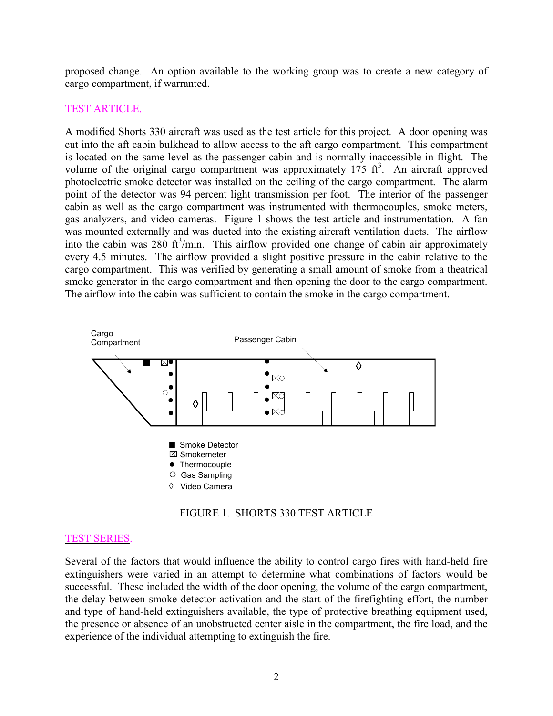<span id="page-6-0"></span>proposed change. An option available to the working group was to create a new category of cargo compartment, if warranted.

#### TEST ARTICLE.

A modified Shorts 330 aircraft was used as the test article for this project. A door opening was cut into the aft cabin bulkhead to allow access to the aft cargo compartment. This compartment is located on the same level as the passenger cabin and is normally inaccessible in flight. The volume of the original cargo compartment was approximately  $175 \text{ ft}^3$ . An aircraft approved photoelectric smoke detector was installed on the ceiling of the cargo compartment. The alarm point of the detector was 94 percent light transmission per foot. The interior of the passenger cabin as well as the cargo compartment was instrumented with thermocouples, smoke meters, gas analyzers, and video cameras. Figure 1 shows the test article and instrumentation. A fan was mounted externally and was ducted into the existing aircraft ventilation ducts. The airflow into the cabin was 280  $ft^3$ /min. This airflow provided one change of cabin air approximately every 4.5 minutes. The airflow provided a slight positive pressure in the cabin relative to the cargo compartment. This was verified by generating a small amount of smoke from a theatrical smoke generator in the cargo compartment and then opening the door to the cargo compartment. The airflow into the cabin was sufficient to contain the smoke in the cargo compartment.

<span id="page-6-2"></span><span id="page-6-1"></span>

FIGURE 1. SHORTS 330 TEST ARTICLE

#### TEST SERIES.

Several of the factors that would influence the ability to control cargo fires with hand-held fire extinguishers were varied in an attempt to determine what combinations of factors would be successful. These included the width of the door opening, the volume of the cargo compartment, the delay between smoke detector activation and the start of the firefighting effort, the number and type of hand-held extinguishers available, the type of protective breathing equipment used, the presence or absence of an unobstructed center aisle in the compartment, the fire load, and the experience of the individual attempting to extinguish the fire.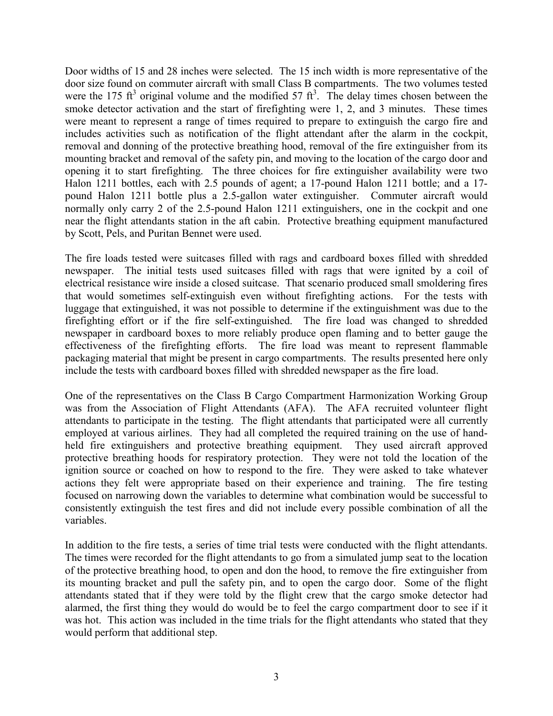Door widths of 15 and 28 inches were selected. The 15 inch width is more representative of the door size found on commuter aircraft with small Class B compartments. The two volumes tested were the 175 ft<sup>3</sup> original volume and the modified 57 ft<sup>3</sup>. The delay times chosen between the smoke detector activation and the start of firefighting were 1, 2, and 3 minutes. These times were meant to represent a range of times required to prepare to extinguish the cargo fire and includes activities such as notification of the flight attendant after the alarm in the cockpit, removal and donning of the protective breathing hood, removal of the fire extinguisher from its mounting bracket and removal of the safety pin, and moving to the location of the cargo door and opening it to start firefighting. The three choices for fire extinguisher availability were two Halon 1211 bottles, each with 2.5 pounds of agent; a 17-pound Halon 1211 bottle; and a 17 pound Halon 1211 bottle plus a 2.5-gallon water extinguisher. Commuter aircraft would normally only carry 2 of the 2.5-pound Halon 1211 extinguishers, one in the cockpit and one near the flight attendants station in the aft cabin. Protective breathing equipment manufactured by Scott, Pels, and Puritan Bennet were used.

The fire loads tested were suitcases filled with rags and cardboard boxes filled with shredded newspaper. The initial tests used suitcases filled with rags that were ignited by a coil of electrical resistance wire inside a closed suitcase. That scenario produced small smoldering fires that would sometimes self-extinguish even without firefighting actions. For the tests with luggage that extinguished, it was not possible to determine if the extinguishment was due to the firefighting effort or if the fire self-extinguished. The fire load was changed to shredded newspaper in cardboard boxes to more reliably produce open flaming and to better gauge the effectiveness of the firefighting efforts. The fire load was meant to represent flammable packaging material that might be present in cargo compartments. The results presented here only include the tests with cardboard boxes filled with shredded newspaper as the fire load.

One of the representatives on the Class B Cargo Compartment Harmonization Working Group was from the Association of Flight Attendants (AFA). The AFA recruited volunteer flight attendants to participate in the testing. The flight attendants that participated were all currently employed at various airlines. They had all completed the required training on the use of handheld fire extinguishers and protective breathing equipment. They used aircraft approved protective breathing hoods for respiratory protection. They were not told the location of the ignition source or coached on how to respond to the fire. They were asked to take whatever actions they felt were appropriate based on their experience and training. The fire testing focused on narrowing down the variables to determine what combination would be successful to consistently extinguish the test fires and did not include every possible combination of all the variables.

In addition to the fire tests, a series of time trial tests were conducted with the flight attendants. The times were recorded for the flight attendants to go from a simulated jump seat to the location of the protective breathing hood, to open and don the hood, to remove the fire extinguisher from its mounting bracket and pull the safety pin, and to open the cargo door. Some of the flight attendants stated that if they were told by the flight crew that the cargo smoke detector had alarmed, the first thing they would do would be to feel the cargo compartment door to see if it was hot. This action was included in the time trials for the flight attendants who stated that they would perform that additional step.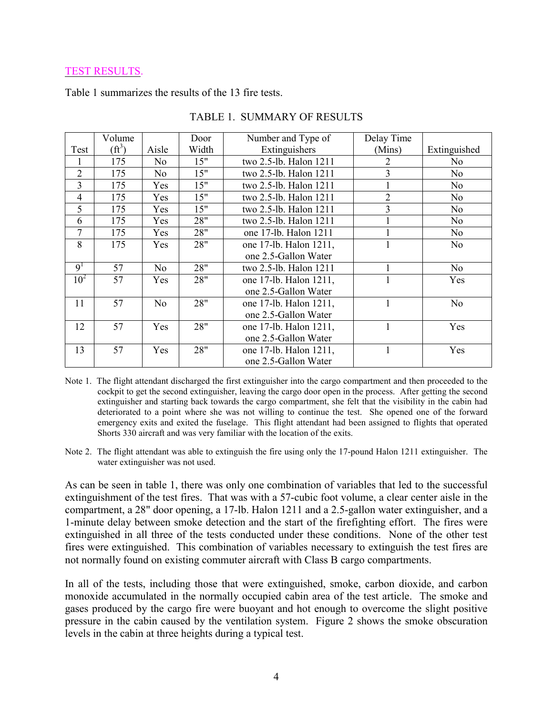#### <span id="page-8-0"></span>TEST RESULTS.

<span id="page-8-1"></span>Table 1 summarizes the results of the 13 fire tests.

|                 | Volume          |                | Door  | Number and Type of     | Delay Time     |                |
|-----------------|-----------------|----------------|-------|------------------------|----------------|----------------|
| Test            | $(f\text{t}^3)$ | Aisle          | Width | Extinguishers          | (Mins)         | Extinguished   |
|                 | 175             | No.            | 15"   | two 2.5-lb. Halon 1211 | 2              | No             |
| $\overline{2}$  | 175             | No             | 15"   | two 2.5-lb. Halon 1211 | $\overline{3}$ | N <sub>o</sub> |
| 3               | 175             | Yes            | 15"   | two 2.5-lb. Halon 1211 |                | N <sub>o</sub> |
| $\overline{4}$  | 175             | Yes            | 15"   | two 2.5-lb. Halon 1211 | $\overline{2}$ | N <sub>o</sub> |
| 5               | 175             | Yes            | 15"   | two 2.5-lb. Halon 1211 | $\overline{3}$ | N <sub>o</sub> |
| 6               | 175             | Yes            | 28"   | two 2.5-lb. Halon 1211 |                | N <sub>0</sub> |
| 7               | 175             | Yes            | 28"   | one 17-lb. Halon 1211  |                | N <sub>0</sub> |
| 8               | 175             | Yes            | 28"   | one 17-lb. Halon 1211, |                | N <sub>o</sub> |
|                 |                 |                |       | one 2.5-Gallon Water   |                |                |
| 9 <sup>1</sup>  | 57              | N <sub>o</sub> | 28"   | two 2.5-lb. Halon 1211 |                | No             |
| 10 <sup>2</sup> | 57              | Yes            | 28"   | one 17-lb. Halon 1211, | $\mathbf{1}$   | Yes            |
|                 |                 |                |       | one 2.5-Gallon Water   |                |                |
| 11              | 57              | N <sub>o</sub> | 28"   | one 17-lb. Halon 1211, | 1              | N <sub>o</sub> |
|                 |                 |                |       | one 2.5-Gallon Water   |                |                |
| 12              | 57              | Yes            | 28"   | one 17-lb. Halon 1211, | 1              | Yes            |
|                 |                 |                |       | one 2.5-Gallon Water   |                |                |
| 13              | 57              | Yes            | 28"   | one 17-lb. Halon 1211, |                | Yes            |
|                 |                 |                |       | one 2.5-Gallon Water   |                |                |

TABLE 1. SUMMARY OF RESULTS

Note 1. The flight attendant discharged the first extinguisher into the cargo compartment and then proceeded to the cockpit to get the second extinguisher, leaving the cargo door open in the process. After getting the second extinguisher and starting back towards the cargo compartment, she felt that the visibility in the cabin had deteriorated to a point where she was not willing to continue the test. She opened one of the forward emergency exits and exited the fuselage. This flight attendant had been assigned to flights that operated Shorts 330 aircraft and was very familiar with the location of the exits.

Note 2. The flight attendant was able to extinguish the fire using only the 17-pound Halon 1211 extinguisher. The water extinguisher was not used.

As can be seen in table 1, there was only one combination of variables that led to the successful extinguishment of the test fires. That was with a 57-cubic foot volume, a clear center aisle in the compartment, a 28" door opening, a 17-lb. Halon 1211 and a 2.5-gallon water extinguisher, and a 1-minute delay between smoke detection and the start of the firefighting effort. The fires were extinguished in all three of the tests conducted under these conditions. None of the other test fires were extinguished. This combination of variables necessary to extinguish the test fires are not normally found on existing commuter aircraft with Class B cargo compartments.

In all of the tests, including those that were extinguished, smoke, carbon dioxide, and carbon monoxide accumulated in the normally occupied cabin area of the test article. The smoke and gases produced by the cargo fire were buoyant and hot enough to overcome the slight positive pressure in the cabin caused by the ventilation system. Figure 2 shows the smoke obscuration levels in the cabin at three heights during a typical test.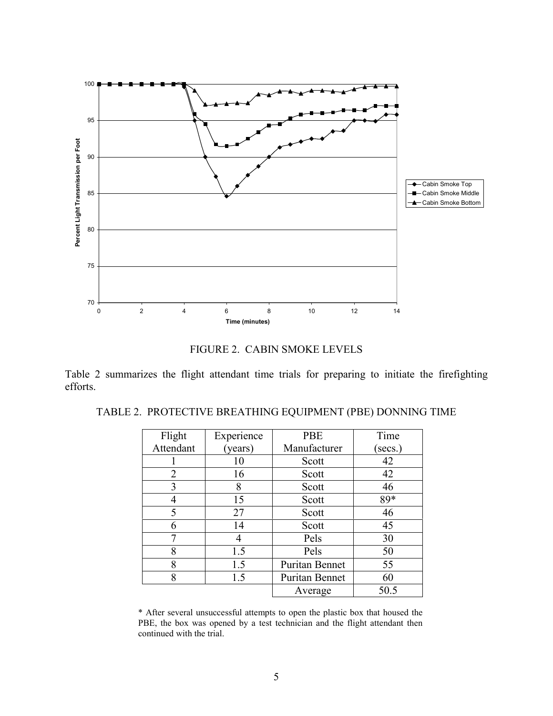<span id="page-9-0"></span>

FIGURE 2. CABIN SMOKE LEVELS

<span id="page-9-1"></span>Table 2 summarizes the flight attendant time trials for preparing to initiate the firefighting efforts.

| Flight    | Experience | <b>PBE</b>     | Time    |
|-----------|------------|----------------|---------|
| Attendant | (years)    | Manufacturer   | (secs.) |
|           | 10         | Scott          | 42      |
| 2         | 16         | Scott          | 42      |
| 3         | 8          | Scott          | 46      |
| 4         | 15         | Scott          | 89*     |
| 5         | 27         | Scott          | 46      |
| 6         | 14         | Scott          | 45      |
|           | 4          | Pels           | 30      |
| 8         | 1.5        | Pels           | 50      |
| 8         | 1.5        | Puritan Bennet | 55      |
| 8         | 1.5        | Puritan Bennet | 60      |
|           |            | Average        | 50.5    |

TABLE 2. PROTECTIVE BREATHING EQUIPMENT (PBE) DONNING TIME

\* After several unsuccessful attempts to open the plastic box that housed the PBE, the box was opened by a test technician and the flight attendant then continued with the trial.